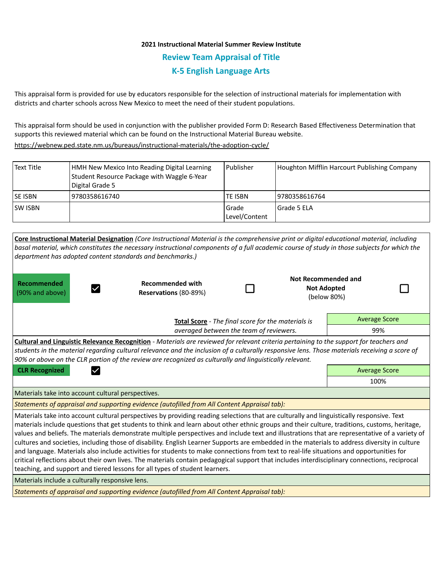# **2021 Instructional Material Summer Review Institute Review Team Appraisal of Title K-5 English Language Arts**

This appraisal form is provided for use by educators responsible for the selection of instructional materials for implementation with districts and charter schools across New Mexico to meet the need of their student populations.

This appraisal form should be used in conjunction with the publisher provided Form D: Research Based Effectiveness Determination that supports this reviewed material which can be found on the Instructional Material Bureau website.

<https://webnew.ped.state.nm.us/bureaus/instructional-materials/the-adoption-cycle/>

| l Text Title    | HMH New Mexico Into Reading Digital Learning<br>Student Resource Package with Waggle 6-Year<br>Digital Grade 5 | Publisher                | Houghton Mifflin Harcourt Publishing Company |
|-----------------|----------------------------------------------------------------------------------------------------------------|--------------------------|----------------------------------------------|
| <b>ISE ISBN</b> | 9780358616740                                                                                                  | <b>TE ISBN</b>           | 19780358616764                               |
| <b>ISW ISBN</b> |                                                                                                                | l Grade<br>Level/Content | Grade 5 ELA                                  |

| Core Instructional Material Designation (Core Instructional Material is the comprehensive print or digital educational material, including<br>basal material, which constitutes the necessary instructional components of a full academic course of study in those subjects for which the<br>department has adopted content standards and benchmarks.)                                                                                                                                                                                                                                                                                                                                                                                                                                                                                                                                                                                                                   |                                                  |  |  |                                                          |  |  |  |  |  |
|--------------------------------------------------------------------------------------------------------------------------------------------------------------------------------------------------------------------------------------------------------------------------------------------------------------------------------------------------------------------------------------------------------------------------------------------------------------------------------------------------------------------------------------------------------------------------------------------------------------------------------------------------------------------------------------------------------------------------------------------------------------------------------------------------------------------------------------------------------------------------------------------------------------------------------------------------------------------------|--------------------------------------------------|--|--|----------------------------------------------------------|--|--|--|--|--|
| <b>Recommended</b><br>(90% and above)                                                                                                                                                                                                                                                                                                                                                                                                                                                                                                                                                                                                                                                                                                                                                                                                                                                                                                                                    | <b>Recommended with</b><br>Reservations (80-89%) |  |  | Not Recommended and<br><b>Not Adopted</b><br>(below 80%) |  |  |  |  |  |
| Total Score - The final score for the materials is                                                                                                                                                                                                                                                                                                                                                                                                                                                                                                                                                                                                                                                                                                                                                                                                                                                                                                                       |                                                  |  |  | <b>Average Score</b>                                     |  |  |  |  |  |
|                                                                                                                                                                                                                                                                                                                                                                                                                                                                                                                                                                                                                                                                                                                                                                                                                                                                                                                                                                          | 99%                                              |  |  |                                                          |  |  |  |  |  |
| <b>Cultural and Linguistic Relevance Recognition</b> - Materials are reviewed for relevant criteria pertaining to the support for teachers and<br>students in the material regarding cultural relevance and the inclusion of a culturally responsive lens. Those materials receiving a score of<br>90% or above on the CLR portion of the review are recognized as culturally and linguistically relevant.                                                                                                                                                                                                                                                                                                                                                                                                                                                                                                                                                               |                                                  |  |  |                                                          |  |  |  |  |  |
| <b>CLR Recognized</b><br>$\checkmark$                                                                                                                                                                                                                                                                                                                                                                                                                                                                                                                                                                                                                                                                                                                                                                                                                                                                                                                                    | <b>Average Score</b>                             |  |  |                                                          |  |  |  |  |  |
|                                                                                                                                                                                                                                                                                                                                                                                                                                                                                                                                                                                                                                                                                                                                                                                                                                                                                                                                                                          |                                                  |  |  | 100%                                                     |  |  |  |  |  |
| Materials take into account cultural perspectives.                                                                                                                                                                                                                                                                                                                                                                                                                                                                                                                                                                                                                                                                                                                                                                                                                                                                                                                       |                                                  |  |  |                                                          |  |  |  |  |  |
| Statements of appraisal and supporting evidence (autofilled from All Content Appraisal tab):                                                                                                                                                                                                                                                                                                                                                                                                                                                                                                                                                                                                                                                                                                                                                                                                                                                                             |                                                  |  |  |                                                          |  |  |  |  |  |
| Materials take into account cultural perspectives by providing reading selections that are culturally and linguistically responsive. Text<br>materials include questions that get students to think and learn about other ethnic groups and their culture, traditions, customs, heritage,<br>values and beliefs. The materials demonstrate multiple perspectives and include text and illustrations that are representative of a variety of<br>cultures and societies, including those of disability. English Learner Supports are embedded in the materials to address diversity in culture<br>and language. Materials also include activities for students to make connections from text to real-life situations and opportunities for<br>critical reflections about their own lives. The materials contain pedagogical support that includes interdisciplinary connections, reciprocal<br>teaching, and support and tiered lessons for all types of student learners. |                                                  |  |  |                                                          |  |  |  |  |  |
| Materials include a culturally responsive lens.                                                                                                                                                                                                                                                                                                                                                                                                                                                                                                                                                                                                                                                                                                                                                                                                                                                                                                                          |                                                  |  |  |                                                          |  |  |  |  |  |
| Statements of approvisal and supporting ovidence (autofilled from All Content Approvisal table                                                                                                                                                                                                                                                                                                                                                                                                                                                                                                                                                                                                                                                                                                                                                                                                                                                                           |                                                  |  |  |                                                          |  |  |  |  |  |

*Statements of appraisal and supporting evidence (autofilled from All Content Appraisal tab):*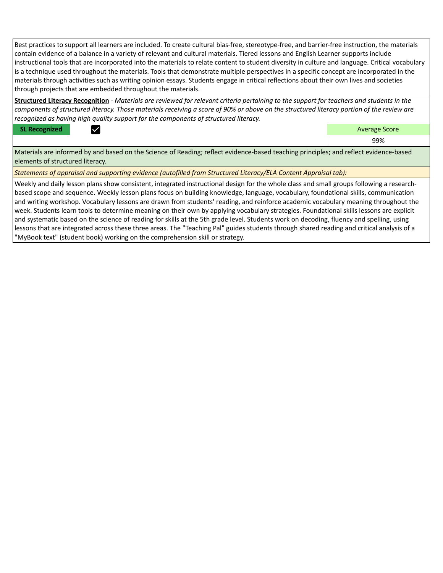Best practices to support all learners are included. To create cultural bias-free, stereotype-free, and barrier-free instruction, the materials contain evidence of a balance in a variety of relevant and cultural materials. Tiered lessons and English Learner supports include instructional tools that are incorporated into the materials to relate content to student diversity in culture and language. Critical vocabulary is a technique used throughout the materials. Tools that demonstrate multiple perspectives in a specific concept are incorporated in the materials through activities such as writing opinion essays. Students engage in critical reflections about their own lives and societies through projects that are embedded throughout the materials.

**Structured Literacy Recognition** - *Materials are reviewed for relevant criteria pertaining to the support for teachers and students in the components of structured literacy. Those materials receiving a score of 90% or above on the structured literacy portion of the review are recognized as having high quality support for the components of structured literacy.*

**SL Recognized Average Score** Average Score and Average Score and Average Score and Average Score and Average Score



99%

Materials are informed by and based on the Science of Reading; reflect evidence-based teaching principles; and reflect evidence-based elements of structured literacy.

*Statements of appraisal and supporting evidence (autofilled from Structured Literacy/ELA Content Appraisal tab):* 

Weekly and daily lesson plans show consistent, integrated instructional design for the whole class and small groups following a researchbased scope and sequence. Weekly lesson plans focus on building knowledge, language, vocabulary, foundational skills, communication and writing workshop. Vocabulary lessons are drawn from students' reading, and reinforce academic vocabulary meaning throughout the week. Students learn tools to determine meaning on their own by applying vocabulary strategies. Foundational skills lessons are explicit and systematic based on the science of reading for skills at the 5th grade level. Students work on decoding, fluency and spelling, using lessons that are integrated across these three areas. The "Teaching Pal" guides students through shared reading and critical analysis of a "MyBook text" (student book) working on the comprehension skill or strategy.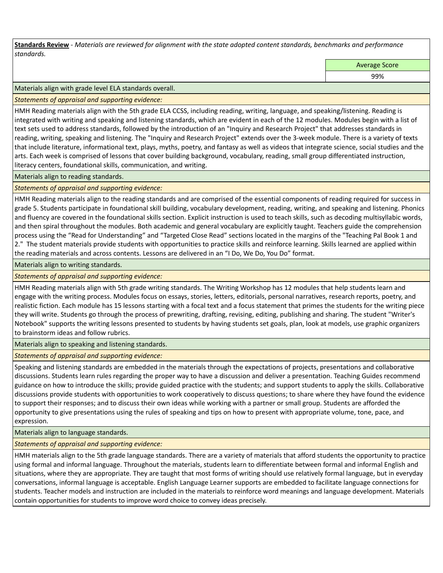**Standards Review** *- Materials are reviewed for alignment with the state adopted content standards, benchmarks and performance standards.*

Average Score

99%

Materials align with grade level ELA standards overall.

*Statements of appraisal and supporting evidence:* 

HMH Reading materials align with the 5th grade ELA CCSS, including reading, writing, language, and speaking/listening. Reading is integrated with writing and speaking and listening standards, which are evident in each of the 12 modules. Modules begin with a list of text sets used to address standards, followed by the introduction of an "Inquiry and Research Project" that addresses standards in reading, writing, speaking and listening. The "Inquiry and Research Project" extends over the 3-week module. There is a variety of texts that include literature, informational text, plays, myths, poetry, and fantasy as well as videos that integrate science, social studies and the arts. Each week is comprised of lessons that cover building background, vocabulary, reading, small group differentiated instruction, literacy centers, foundational skills, communication, and writing.

Materials align to reading standards.

*Statements of appraisal and supporting evidence:* 

HMH Reading materials align to the reading standards and are comprised of the essential components of reading required for success in grade 5. Students participate in foundational skill building, vocabulary development, reading, writing, and speaking and listening. Phonics and fluency are covered in the foundational skills section. Explicit instruction is used to teach skills, such as decoding multisyllabic words, and then spiral throughout the modules. Both academic and general vocabulary are explicitly taught. Teachers guide the comprehension process using the "Read for Understanding" and "Targeted Close Read" sections located in the margins of the "Teaching Pal Book 1 and 2." The student materials provide students with opportunities to practice skills and reinforce learning. Skills learned are applied within the reading materials and across contents. Lessons are delivered in an "I Do, We Do, You Do" format.

Materials align to writing standards.

*Statements of appraisal and supporting evidence:* 

HMH Reading materials align with 5th grade writing standards. The Writing Workshop has 12 modules that help students learn and engage with the writing process. Modules focus on essays, stories, letters, editorials, personal narratives, research reports, poetry, and realistic fiction. Each module has 15 lessons starting with a focal text and a focus statement that primes the students for the writing piece they will write. Students go through the process of prewriting, drafting, revising, editing, publishing and sharing. The student "Writer's Notebook" supports the writing lessons presented to students by having students set goals, plan, look at models, use graphic organizers to brainstorm ideas and follow rubrics.

Materials align to speaking and listening standards.

*Statements of appraisal and supporting evidence:* 

Speaking and listening standards are embedded in the materials through the expectations of projects, presentations and collaborative discussions. Students learn rules regarding the proper way to have a discussion and deliver a presentation. Teaching Guides recommend guidance on how to introduce the skills; provide guided practice with the students; and support students to apply the skills. Collaborative discussions provide students with opportunities to work cooperatively to discuss questions; to share where they have found the evidence to support their responses; and to discuss their own ideas while working with a partner or small group. Students are afforded the opportunity to give presentations using the rules of speaking and tips on how to present with appropriate volume, tone, pace, and expression.

Materials align to language standards.

*Statements of appraisal and supporting evidence:* 

HMH materials align to the 5th grade language standards. There are a variety of materials that afford students the opportunity to practice using formal and informal language. Throughout the materials, students learn to differentiate between formal and informal English and situations, where they are appropriate. They are taught that most forms of writing should use relatively formal language, but in everyday conversations, informal language is acceptable. English Language Learner supports are embedded to facilitate language connections for students. Teacher models and instruction are included in the materials to reinforce word meanings and language development. Materials contain opportunities for students to improve word choice to convey ideas precisely.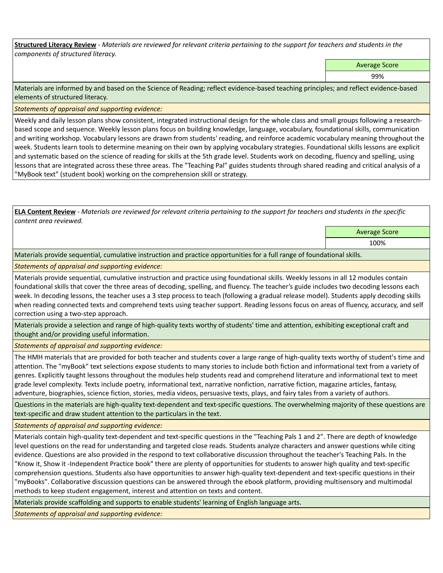**Structured Literacy Review** *- Materials are reviewed for relevant criteria pertaining to the support for teachers and students in the components of structured literacy.*

Average Score

99%

Materials are informed by and based on the Science of Reading; reflect evidence-based teaching principles; and reflect evidence-based elements of structured literacy.

*Statements of appraisal and supporting evidence:*

Weekly and daily lesson plans show consistent, integrated instructional design for the whole class and small groups following a researchbased scope and sequence. Weekly lesson plans focus on building knowledge, language, vocabulary, foundational skills, communication and writing workshop. Vocabulary lessons are drawn from students' reading, and reinforce academic vocabulary meaning throughout the week. Students learn tools to determine meaning on their own by applying vocabulary strategies. Foundational skills lessons are explicit and systematic based on the science of reading for skills at the 5th grade level. Students work on decoding, fluency and spelling, using lessons that are integrated across these three areas. The "Teaching Pal" guides students through shared reading and critical analysis of a "MyBook text" (student book) working on the comprehension skill or strategy.

**ELA Content Review** *- Materials are reviewed for relevant criteria pertaining to the support for teachers and students in the specific content area reviewed.*

Average Score

100%

Materials provide sequential, cumulative instruction and practice opportunities for a full range of foundational skills.

*Statements of appraisal and supporting evidence:* 

Materials provide sequential, cumulative instruction and practice using foundational skills. Weekly lessons in all 12 modules contain foundational skills that cover the three areas of decoding, spelling, and fluency. The teacher's guide includes two decoding lessons each week. In decoding lessons, the teacher uses a 3 step process to teach (following a gradual release model). Students apply decoding skills when reading connected texts and comprehend texts using teacher support. Reading lessons focus on areas of fluency, accuracy, and self correction using a two-step approach.

Materials provide a selection and range of high-quality texts worthy of students' time and attention, exhibiting exceptional craft and thought and/or providing useful information.

*Statements of appraisal and supporting evidence:* 

The HMH materials that are provided for both teacher and students cover a large range of high-quality texts worthy of student's time and attention. The "myBook" text selections expose students to many stories to include both fiction and informational text from a variety of genres. Explicitly taught lessons throughout the modules help students read and comprehend literature and informational text to meet grade level complexity. Texts include poetry, informational text, narrative nonfiction, narrative fiction, magazine articles, fantasy, adventure, biographies, science fiction, stories, media videos, persuasive texts, plays, and fairy tales from a variety of authors.

Questions in the materials are high-quality text-dependent and text-specific questions. The overwhelming majority of these questions are text-specific and draw student attention to the particulars in the text.

*Statements of appraisal and supporting evidence:* 

Materials contain high-quality text-dependent and text-specific questions in the "Teaching Pals 1 and 2". There are depth of knowledge level questions on the read for understanding and targeted close reads. Students analyze characters and answer questions while citing evidence. Questions are also provided in the respond to text collaborative discussion throughout the teacher's Teaching Pals. In the "Know it, Show it -Independent Practice book" there are plenty of opportunities for students to answer high quality and text-specific comprehension questions. Students also have opportunities to answer high-quality text-dependent and text-specific questions in their "myBooks". Collaborative discussion questions can be answered through the ebook platform, providing multisensory and multimodal methods to keep student engagement, interest and attention on texts and content.

Materials provide scaffolding and supports to enable students' learning of English language arts.

*Statements of appraisal and supporting evidence:*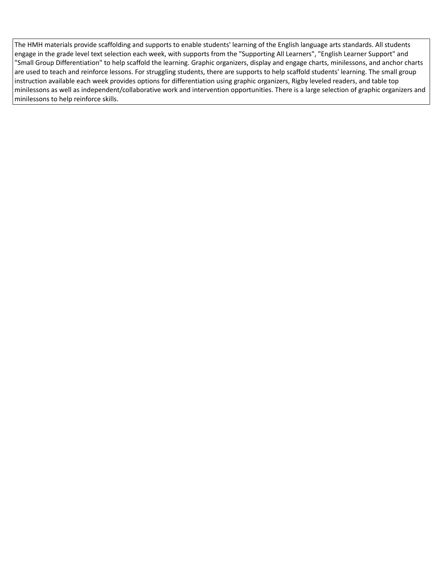The HMH materials provide scaffolding and supports to enable students' learning of the English language arts standards. All students engage in the grade level text selection each week, with supports from the "Supporting All Learners", "English Learner Support" and "Small Group Differentiation" to help scaffold the learning. Graphic organizers, display and engage charts, minilessons, and anchor charts are used to teach and reinforce lessons. For struggling students, there are supports to help scaffold students' learning. The small group instruction available each week provides options for differentiation using graphic organizers, Rigby leveled readers, and table top minilessons as well as independent/collaborative work and intervention opportunities. There is a large selection of graphic organizers and minilessons to help reinforce skills.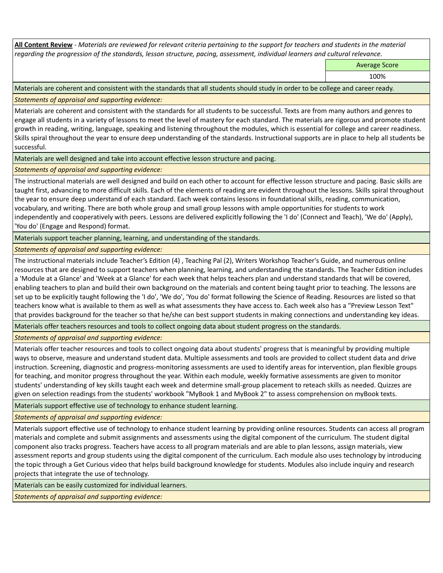**All Content Review** *- Materials are reviewed for relevant criteria pertaining to the support for teachers and students in the material regarding the progression of the standards, lesson structure, pacing, assessment, individual learners and cultural relevance.*

Average Score

100%

Materials are coherent and consistent with the standards that all students should study in order to be college and career ready.

*Statements of appraisal and supporting evidence:*

Materials are coherent and consistent with the standards for all students to be successful. Texts are from many authors and genres to engage all students in a variety of lessons to meet the level of mastery for each standard. The materials are rigorous and promote student growth in reading, writing, language, speaking and listening throughout the modules, which is essential for college and career readiness. Skills spiral throughout the year to ensure deep understanding of the standards. Instructional supports are in place to help all students be successful.

Materials are well designed and take into account effective lesson structure and pacing.

*Statements of appraisal and supporting evidence:*

The instructional materials are well designed and build on each other to account for effective lesson structure and pacing. Basic skills are taught first, advancing to more difficult skills. Each of the elements of reading are evident throughout the lessons. Skills spiral throughout the year to ensure deep understand of each standard. Each week contains lessons in foundational skills, reading, communication, vocabulary, and writing. There are both whole group and small group lessons with ample opportunities for students to work independently and cooperatively with peers. Lessons are delivered explicitly following the 'I do' (Connect and Teach), 'We do' (Apply), 'You do' (Engage and Respond) format.

Materials support teacher planning, learning, and understanding of the standards.

*Statements of appraisal and supporting evidence:*

The instructional materials include Teacher's Edition (4) , Teaching Pal (2), Writers Workshop Teacher's Guide, and numerous online resources that are designed to support teachers when planning, learning, and understanding the standards. The Teacher Edition includes a 'Module at a Glance' and 'Week at a Glance' for each week that helps teachers plan and understand standards that will be covered, enabling teachers to plan and build their own background on the materials and content being taught prior to teaching. The lessons are set up to be explicitly taught following the 'I do', 'We do', 'You do' format following the Science of Reading. Resources are listed so that teachers know what is available to them as well as what assessments they have access to. Each week also has a "Preview Lesson Text" that provides background for the teacher so that he/she can best support students in making connections and understanding key ideas.

Materials offer teachers resources and tools to collect ongoing data about student progress on the standards.

*Statements of appraisal and supporting evidence:*

Materials offer teacher resources and tools to collect ongoing data about students' progress that is meaningful by providing multiple ways to observe, measure and understand student data. Multiple assessments and tools are provided to collect student data and drive instruction. Screening, diagnostic and progress-monitoring assessments are used to identify areas for intervention, plan flexible groups for teaching, and monitor progress throughout the year. Within each module, weekly formative assessments are given to monitor students' understanding of key skills taught each week and determine small-group placement to reteach skills as needed. Quizzes are given on selection readings from the students' workbook "MyBook 1 and MyBook 2" to assess comprehension on myBook texts.

Materials support effective use of technology to enhance student learning.

*Statements of appraisal and supporting evidence:*

Materials support effective use of technology to enhance student learning by providing online resources. Students can access all program materials and complete and submit assignments and assessments using the digital component of the curriculum. The student digital component also tracks progress. Teachers have access to all program materials and are able to plan lessons, assign materials, view assessment reports and group students using the digital component of the curriculum. Each module also uses technology by introducing the topic through a Get Curious video that helps build background knowledge for students. Modules also include inquiry and research projects that integrate the use of technology.

Materials can be easily customized for individual learners.

*Statements of appraisal and supporting evidence:*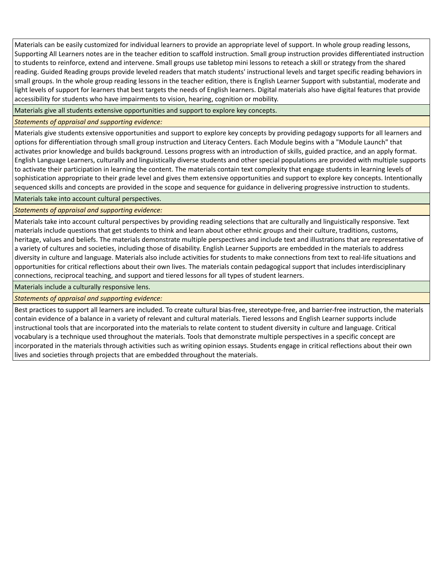Materials can be easily customized for individual learners to provide an appropriate level of support. In whole group reading lessons, Supporting All Learners notes are in the teacher edition to scaffold instruction. Small group instruction provides differentiated instruction to students to reinforce, extend and intervene. Small groups use tabletop mini lessons to reteach a skill or strategy from the shared reading. Guided Reading groups provide leveled readers that match students' instructional levels and target specific reading behaviors in small groups. In the whole group reading lessons in the teacher edition, there is English Learner Support with substantial, moderate and light levels of support for learners that best targets the needs of English learners. Digital materials also have digital features that provide accessibility for students who have impairments to vision, hearing, cognition or mobility.

Materials give all students extensive opportunities and support to explore key concepts.

*Statements of appraisal and supporting evidence:*

Materials give students extensive opportunities and support to explore key concepts by providing pedagogy supports for all learners and options for differentiation through small group instruction and Literacy Centers. Each Module begins with a "Module Launch" that activates prior knowledge and builds background. Lessons progress with an introduction of skills, guided practice, and an apply format. English Language Learners, culturally and linguistically diverse students and other special populations are provided with multiple supports to activate their participation in learning the content. The materials contain text complexity that engage students in learning levels of sophistication appropriate to their grade level and gives them extensive opportunities and support to explore key concepts. Intentionally sequenced skills and concepts are provided in the scope and sequence for guidance in delivering progressive instruction to students.

Materials take into account cultural perspectives.

## *Statements of appraisal and supporting evidence:*

Materials take into account cultural perspectives by providing reading selections that are culturally and linguistically responsive. Text materials include questions that get students to think and learn about other ethnic groups and their culture, traditions, customs, heritage, values and beliefs. The materials demonstrate multiple perspectives and include text and illustrations that are representative of a variety of cultures and societies, including those of disability. English Learner Supports are embedded in the materials to address diversity in culture and language. Materials also include activities for students to make connections from text to real-life situations and opportunities for critical reflections about their own lives. The materials contain pedagogical support that includes interdisciplinary connections, reciprocal teaching, and support and tiered lessons for all types of student learners.

Materials include a culturally responsive lens.

*Statements of appraisal and supporting evidence:*

Best practices to support all learners are included. To create cultural bias-free, stereotype-free, and barrier-free instruction, the materials contain evidence of a balance in a variety of relevant and cultural materials. Tiered lessons and English Learner supports include instructional tools that are incorporated into the materials to relate content to student diversity in culture and language. Critical vocabulary is a technique used throughout the materials. Tools that demonstrate multiple perspectives in a specific concept are incorporated in the materials through activities such as writing opinion essays. Students engage in critical reflections about their own lives and societies through projects that are embedded throughout the materials.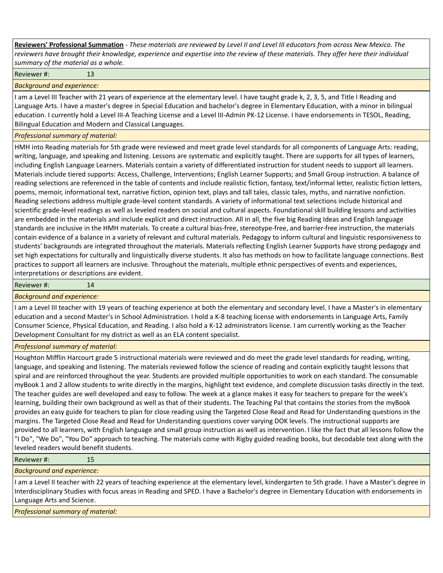**Reviewers' Professional Summation** *- These materials are reviewed by Level II and Level III educators from across New Mexico. The reviewers have brought their knowledge, experience and expertise into the review of these materials. They offer here their individual summary of the material as a whole.*

Reviewer #: 13

*Background and experience:*

I am a Level III Teacher with 21 years of experience at the elementary level. I have taught grade k, 2, 3, 5, and Title I Reading and Language Arts. I have a master's degree in Special Education and bachelor's degree in Elementary Education, with a minor in bilingual education. I currently hold a Level III-A Teaching License and a Level III-Admin PK-12 License. I have endorsements in TESOL, Reading, Bilingual Education and Modern and Classical Languages.

### *Professional summary of material:*

HMH into Reading materials for 5th grade were reviewed and meet grade level standards for all components of Language Arts: reading, writing, language, and speaking and listening. Lessons are systematic and explicitly taught. There are supports for all types of learners, including English Language Learners. Materials contain a variety of differentiated instruction for student needs to support all learners. Materials include tiered supports: Access, Challenge, Interventions; English Learner Supports; and Small Group instruction. A balance of reading selections are referenced in the table of contents and include realistic fiction, fantasy, text/informal letter, realistic fiction letters, poems, memoir, informational text, narrative fiction, opinion text, plays and tall tales, classic tales, myths, and narrative nonfiction. Reading selections address multiple grade-level content standards. A variety of informational text selections include historical and scientific grade-level readings as well as leveled readers on social and cultural aspects. Foundational skill building lessons and activities are embedded in the materials and include explicit and direct instruction. All in all, the five big Reading Ideas and English language standards are inclusive in the HMH materials. To create a cultural bias-free, stereotype-free, and barrier-free instruction, the materials contain evidence of a balance in a variety of relevant and cultural materials. Pedagogy to inform cultural and linguistic responsiveness to students' backgrounds are integrated throughout the materials. Materials reflecting English Learner Supports have strong pedagogy and set high expectations for culturally and linguistically diverse students. It also has methods on how to facilitate language connections. Best practices to support all learners are inclusive. Throughout the materials, multiple ethnic perspectives of events and experiences, interpretations or descriptions are evident.

Reviewer #: 14

#### *Background and experience:*

I am a Level III teacher with 19 years of teaching experience at both the elementary and secondary level. I have a Master's in elementary education and a second Master's in School Administration. I hold a K-8 teaching license with endorsements in Language Arts, Family Consumer Science, Physical Education, and Reading. I also hold a K-12 administrators license. I am currently working as the Teacher Development Consultant for my district as well as an ELA content specialist.

## *Professional summary of material:*

Houghton Mifflin Harcourt grade 5 instructional materials were reviewed and do meet the grade level standards for reading, writing, language, and speaking and listening. The materials reviewed follow the science of reading and contain explicitly taught lessons that spiral and are reinforced throughout the year. Students are provided multiple opportunities to work on each standard. The consumable myBook 1 and 2 allow students to write directly in the margins, highlight text evidence, and complete discussion tasks directly in the text. The teacher guides are well developed and easy to follow. The week at a glance makes it easy for teachers to prepare for the week's learning, building their own background as well as that of their students. The Teaching Pal that contains the stories from the myBook provides an easy guide for teachers to plan for close reading using the Targeted Close Read and Read for Understanding questions in the margins. The Targeted Close Read and Read for Understanding questions cover varying DOK levels. The instructional supports are provided to all learners, with English language and small group instruction as well as intervention. I like the fact that all lessons follow the "I Do", "We Do", "You Do" approach to teaching. The materials come with Rigby guided reading books, but decodable text along with the leveled readers would benefit students.

#### Reviewer #: 15

*Background and experience:*

I am a Level II teacher with 22 years of teaching experience at the elementary level, kindergarten to 5th grade. I have a Master's degree in Interdisciplinary Studies with focus areas in Reading and SPED. I have a Bachelor's degree in Elementary Education with endorsements in Language Arts and Science.

*Professional summary of material:*